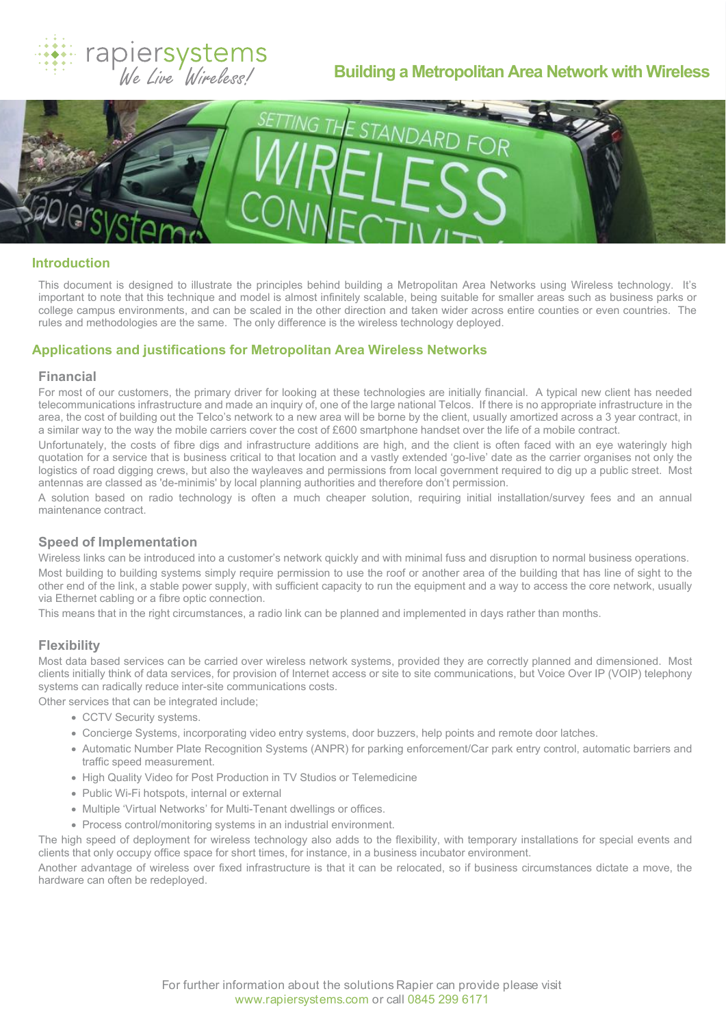

# **Building a Metropolitan Area Network with Wireless**



# **Introduction**

This document is designed to illustrate the principles behind building a Metropolitan Area Networks using Wireless technology. It's important to note that this technique and model is almost infinitely scalable, being suitable for smaller areas such as business parks or college campus environments, and can be scaled in the other direction and taken wider across entire counties or even countries. The rules and methodologies are the same. The only difference is the wireless technology deployed.

# **Applications and justifications for Metropolitan Area Wireless Networks**

#### **Financial**

For most of our customers, the primary driver for looking at these technologies are initially financial. A typical new client has needed telecommunications infrastructure and made an inquiry of, one of the large national Telcos. If there is no appropriate infrastructure in the area, the cost of building out the Telco's network to a new area will be borne by the client, usually amortized across a 3 year contract, in a similar way to the way the mobile carriers cover the cost of £600 smartphone handset over the life of a mobile contract.

Unfortunately, the costs of fibre digs and infrastructure additions are high, and the client is often faced with an eye wateringly high quotation for a service that is business critical to that location and a vastly extended 'go-live' date as the carrier organises not only the logistics of road digging crews, but also the wayleaves and permissions from local government required to dig up a public street. Most antennas are classed as 'de-minimis' by local planning authorities and therefore don't permission.

A solution based on radio technology is often a much cheaper solution, requiring initial installation/survey fees and an annual maintenance contract.

# **Speed of Implementation**

Wireless links can be introduced into a customer's network quickly and with minimal fuss and disruption to normal business operations. Most building to building systems simply require permission to use the roof or another area of the building that has line of sight to the other end of the link, a stable power supply, with sufficient capacity to run the equipment and a way to access the core network, usually via Ethernet cabling or a fibre optic connection.

This means that in the right circumstances, a radio link can be planned and implemented in days rather than months.

## **Flexibility**

Most data based services can be carried over wireless network systems, provided they are correctly planned and dimensioned. Most clients initially think of data services, for provision of Internet access or site to site communications, but Voice Over IP (VOIP) telephony systems can radically reduce inter-site communications costs.

Other services that can be integrated include;

- · CCTV Security systems.
- · Concierge Systems, incorporating video entry systems, door buzzers, help points and remote door latches.
- · Automatic Number Plate Recognition Systems (ANPR) for parking enforcement/Car park entry control, automatic barriers and traffic speed measurement.
- · High Quality Video for Post Production in TV Studios or Telemedicine
- · Public Wi-Fi hotspots, internal or external
- · Multiple 'Virtual Networks' for Multi-Tenant dwellings or offices.
- · Process control/monitoring systems in an industrial environment.

The high speed of deployment for wireless technology also adds to the flexibility, with temporary installations for special events and clients that only occupy office space for short times, for instance, in a business incubator environment.

Another advantage of wireless over fixed infrastructure is that it can be relocated, so if business circumstances dictate a move, the hardware can often be redeployed.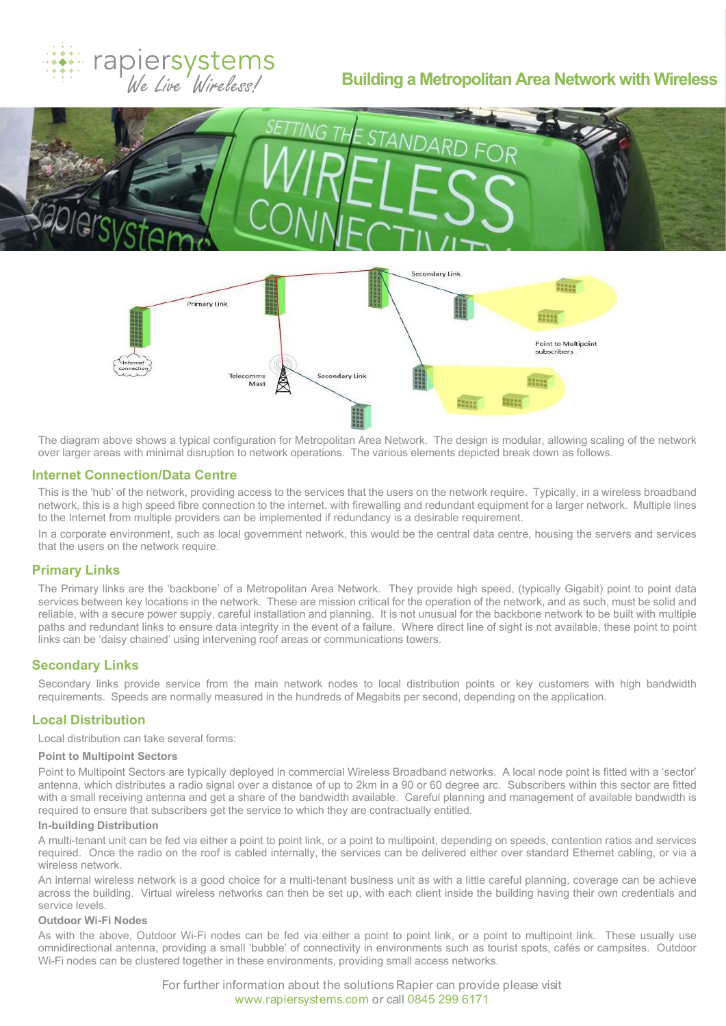# rapiersystems<br>We Live Wireless!

# **Building a Metropolitan Area Network with Wireless**





The diagram above shows a typical configuration for Metropolitan Area Network. The design is modular, allowing scaling of the network over larger areas with minimal disruption to network operations. The various elements depicted break down as follows.

## **Internet Connection/Data Centre**

This is the 'hub' of the network, providing access to the services that the users on the network require. Typically, in a wireless broadband network, this is a high speed fibre connection to the internet, with firewalling and redundant equipment for a larger network. Multiple lines to the Internet from multiple providers can be implemented if redundancy is a desirable requirement.

In a corporate environment, such as local government network, this would be the central data centre, housing the servers and services that the users on the network require.

# **Primary Links**

The Primary links are the 'backbone' of a Metropolitan Area Network. They provide high speed, (typically Gigabit) point to point data services between key locations in the network. These are mission critical for the operation of the network, and as such, must be solid and reliable, with a secure power supply, careful installation and planning. It is not unusual for the backbone network to be built with multiple paths and redundant links to ensure data integrity in the event of a failure. Where direct line of sight is not available, these point to point links can be 'daisy chained' using intervening roof areas or communications towers.

# **Secondary Links**

Secondary links provide service from the main network nodes to local distribution points or key customers with high bandwidth requirements. Speeds are normally measured in the hundreds of Megabits per second, depending on the application.

# **Local Distribution**

Local distribution can take several forms:

# **Point to Multipoint Sectors**

Point to Multipoint Sectors are typically deployed in commercial Wireless Broadband networks. A local node point is fitted with a 'sector' antenna, which distributes a radio signal over a distance of up to 2km in a 90 or 60 degree arc. Subscribers within this sector are fitted with a small receiving antenna and get a share of the bandwidth available. Careful planning and management of available bandwidth is required to ensure that subscribers get the service to which they are contractually entitled.

#### **In-building Distribution**

A multi-tenant unit can be fed via either a point to point link, or a point to multipoint, depending on speeds, contention ratios and services required. Once the radio on the roof is cabled internally, the services can be delivered either over standard Ethernet cabling, or via a wireless network.

An internal wireless network is a good choice for a multi-tenant business unit as with a little careful planning, coverage can be achieve across the building. Virtual wireless networks can then be set up, with each client inside the building having their own credentials and service levels.

#### **Outdoor Wi-Fi Nodes**

As with the above, Outdoor Wi-Fi nodes can be fed via either a point to point link, or a point to multipoint link. These usually use omnidirectional antenna, providing a small 'bubble' of connectivity in environments such as tourist spots, cafés or campsites. Outdoor Wi-Fi nodes can be clustered together in these environments, providing small access networks.

> For further information about the solutions Rapier can provide please visit www.rapiersystems.com or call 0845 299 6171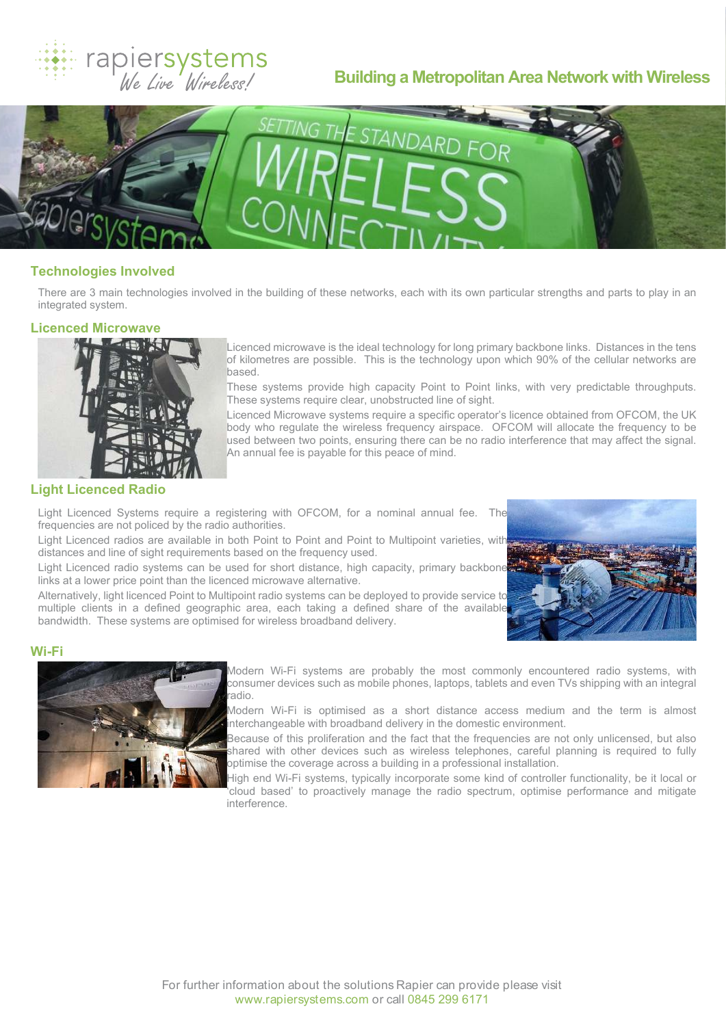

# **Building a Metropolitan Area Network with Wireless**



# **Technologies Involved**

There are 3 main technologies involved in the building of these networks, each with its own particular strengths and parts to play in an integrated system.

#### **Licenced Microwave**



Licenced microwave is the ideal technology for long primary backbone links. Distances in the tens of kilometres are possible. This is the technology upon which 90% of the cellular networks are based.

These systems provide high capacity Point to Point links, with very predictable throughputs. These systems require clear, unobstructed line of sight.

Licenced Microwave systems require a specific operator's licence obtained from OFCOM, the UK body who regulate the wireless frequency airspace. OFCOM will allocate the frequency to be used between two points, ensuring there can be no radio interference that may affect the signal. An annual fee is payable for this peace of mind.

## **Light Licenced Radio**

Light Licenced Systems require a registering with OFCOM, for a nominal annual fee. The frequencies are not policed by the radio authorities.

Light Licenced radios are available in both Point to Point and Point to Multipoint varieties, with distances and line of sight requirements based on the frequency used.

Light Licenced radio systems can be used for short distance, high capacity, primary backbone links at a lower price point than the licenced microwave alternative.

Alternatively, light licenced Point to Multipoint radio systems can be deployed to provide service to multiple clients in a defined geographic area, each taking a defined share of the available bandwidth. These systems are optimised for wireless broadband delivery.



# **Wi-Fi**



Modern Wi-Fi systems are probably the most commonly encountered radio systems, with consumer devices such as mobile phones, laptops, tablets and even TVs shipping with an integral radio.

Modern Wi-Fi is optimised as a short distance access medium and the term is almost interchangeable with broadband delivery in the domestic environment.

Because of this proliferation and the fact that the frequencies are not only unlicensed, but also shared with other devices such as wireless telephones, careful planning is required to fully optimise the coverage across a building in a professional installation.

High end Wi-Fi systems, typically incorporate some kind of controller functionality, be it local or 'cloud based' to proactively manage the radio spectrum, optimise performance and mitigate interference.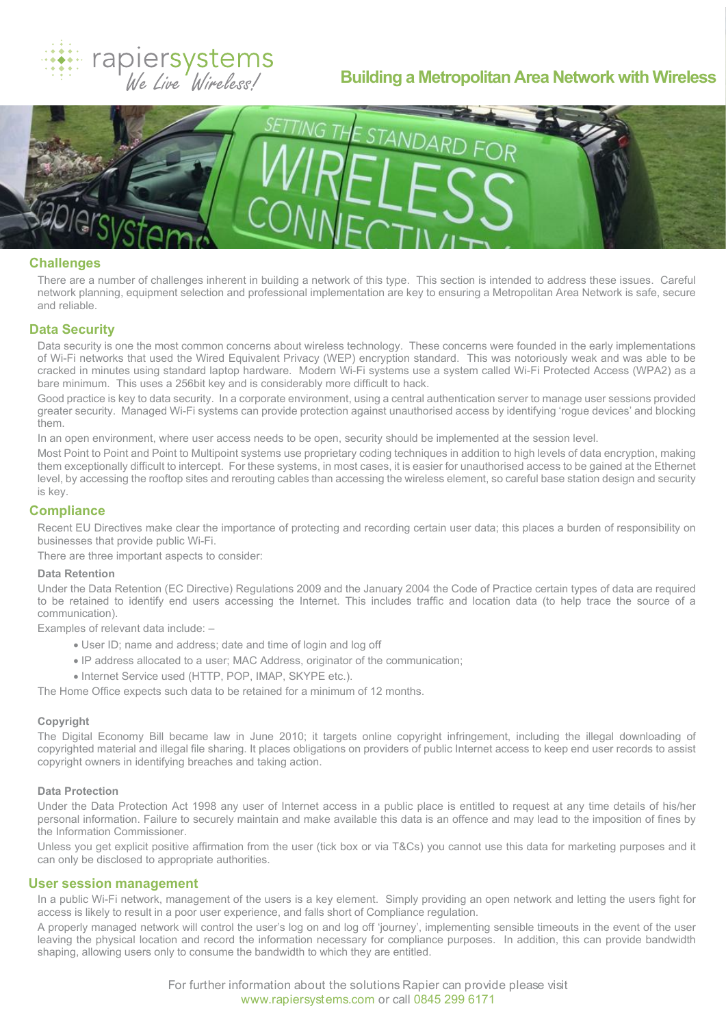

# **Building a Metropolitan Area Network with Wireless**



# **Challenges**

There are a number of challenges inherent in building a network of this type. This section is intended to address these issues. Careful network planning, equipment selection and professional implementation are key to ensuring a Metropolitan Area Network is safe, secure and reliable.

# **Data Security**

Data security is one the most common concerns about wireless technology. These concerns were founded in the early implementations of Wi-Fi networks that used the Wired Equivalent Privacy (WEP) encryption standard. This was notoriously weak and was able to be cracked in minutes using standard laptop hardware. Modern Wi-Fi systems use a system called Wi-Fi Protected Access (WPA2) as a bare minimum. This uses a 256bit key and is considerably more difficult to hack.

Good practice is key to data security. In a corporate environment, using a central authentication server to manage user sessions provided greater security. Managed Wi-Fi systems can provide protection against unauthorised access by identifying 'rogue devices' and blocking them.

In an open environment, where user access needs to be open, security should be implemented at the session level.

Most Point to Point and Point to Multipoint systems use proprietary coding techniques in addition to high levels of data encryption, making them exceptionally difficult to intercept. For these systems, in most cases, it is easier for unauthorised access to be gained at the Ethernet level, by accessing the rooftop sites and rerouting cables than accessing the wireless element, so careful base station design and security is key.

## **Compliance**

Recent EU Directives make clear the importance of protecting and recording certain user data; this places a burden of responsibility on businesses that provide public Wi-Fi.

There are three important aspects to consider:

#### **Data Retention**

Under the Data Retention (EC Directive) Regulations 2009 and the January 2004 the Code of Practice certain types of data are required to be retained to identify end users accessing the Internet. This includes traffic and location data (to help trace the source of a communication).

Examples of relevant data include: –

- · User ID; name and address; date and time of login and log off
- · IP address allocated to a user; MAC Address, originator of the communication;
- · Internet Service used (HTTP, POP, IMAP, SKYPE etc.).

The Home Office expects such data to be retained for a minimum of 12 months.

#### **Copyright**

The Digital Economy Bill became law in June 2010; it targets online copyright infringement, including the illegal downloading of copyrighted material and illegal file sharing. It places obligations on providers of public Internet access to keep end user records to assist copyright owners in identifying breaches and taking action.

#### **Data Protection**

Under the Data Protection Act 1998 any user of Internet access in a public place is entitled to request at any time details of his/her personal information. Failure to securely maintain and make available this data is an offence and may lead to the imposition of fines by the Information Commissioner.

Unless you get explicit positive affirmation from the user (tick box or via T&Cs) you cannot use this data for marketing purposes and it can only be disclosed to appropriate authorities.

#### **User session management**

In a public Wi-Fi network, management of the users is a key element. Simply providing an open network and letting the users fight for access is likely to result in a poor user experience, and falls short of Compliance regulation.

A properly managed network will control the user's log on and log off 'journey', implementing sensible timeouts in the event of the user leaving the physical location and record the information necessary for compliance purposes. In addition, this can provide bandwidth shaping, allowing users only to consume the bandwidth to which they are entitled.

> For further information about the solutions Rapier can provide please visit www.rapiersystems.com or call 0845 299 6171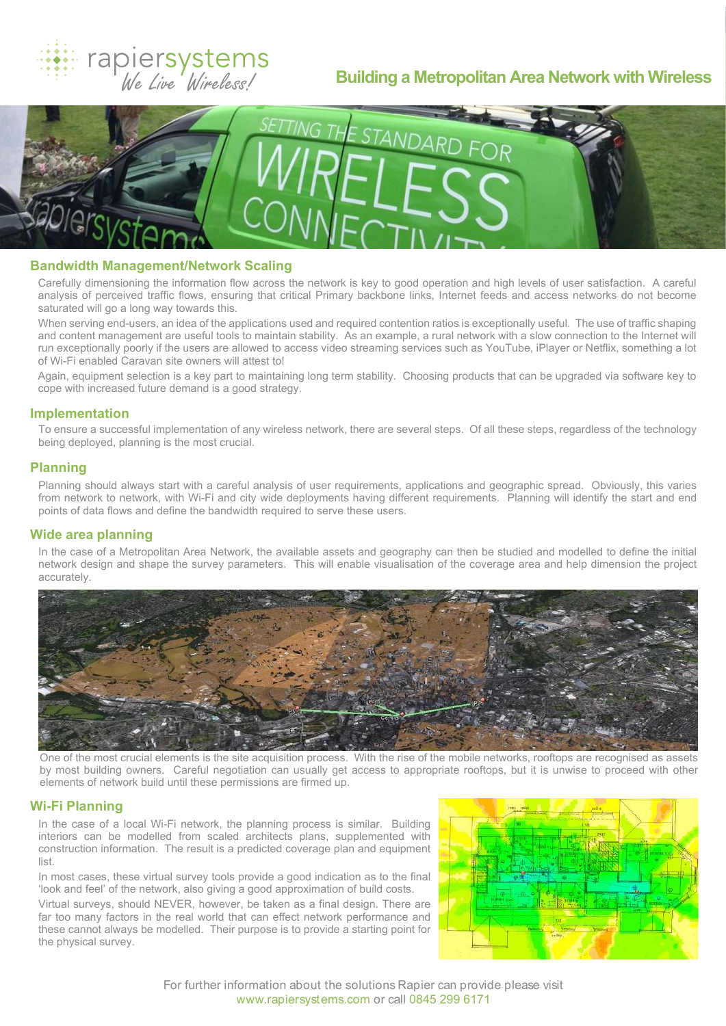# rapiersystems<br>We Live Wireless!

# **Building a Metropolitan Area Network with Wireless**



## **Bandwidth Management/Network Scaling**

Carefully dimensioning the information flow across the network is key to good operation and high levels of user satisfaction. A careful analysis of perceived traffic flows, ensuring that critical Primary backbone links, Internet feeds and access networks do not become saturated will go a long way towards this.

When serving end-users, an idea of the applications used and required contention ratios is exceptionally useful. The use of traffic shaping and content management are useful tools to maintain stability. As an example, a rural network with a slow connection to the Internet will run exceptionally poorly if the users are allowed to access video streaming services such as YouTube, iPlayer or Netflix, something a lot of Wi-Fi enabled Caravan site owners will attest to!

Again, equipment selection is a key part to maintaining long term stability. Choosing products that can be upgraded via software key to cope with increased future demand is a good strategy.

# **Implementation**

To ensure a successful implementation of any wireless network, there are several steps. Of all these steps, regardless of the technology being deployed, planning is the most crucial.

# **Planning**

Planning should always start with a careful analysis of user requirements, applications and geographic spread. Obviously, this varies from network to network, with Wi-Fi and city wide deployments having different requirements. Planning will identify the start and end points of data flows and define the bandwidth required to serve these users.

## **Wide area planning**

In the case of a Metropolitan Area Network, the available assets and geography can then be studied and modelled to define the initial network design and shape the survey parameters. This will enable visualisation of the coverage area and help dimension the project accurately.



One of the most crucial elements is the site acquisition process. With the rise of the mobile networks, rooftops are recognised as assets by most building owners. Careful negotiation can usually get access to appropriate rooftops, but it is unwise to proceed with other elements of network build until these permissions are firmed up.

## **Wi-Fi Planning**

In the case of a local Wi-Fi network, the planning process is similar. Building interiors can be modelled from scaled architects plans, supplemented with construction information. The result is a predicted coverage plan and equipment list.

In most cases, these virtual survey tools provide a good indication as to the final 'look and feel' of the network, also giving a good approximation of build costs.

Virtual surveys, should NEVER, however, be taken as a final design. There are far too many factors in the real world that can effect network performance and these cannot always be modelled. Their purpose is to provide a starting point for the physical survey.



For further information about the solutions Rapier can provide please visit www.rapiersystems.com or call 0845 299 6171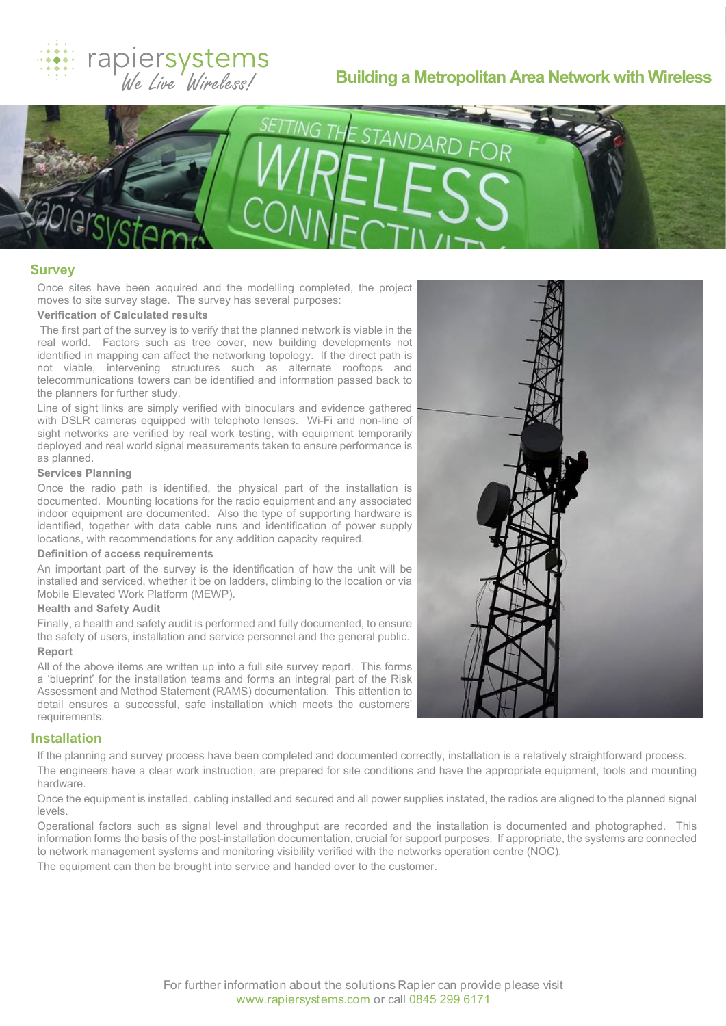# rapiersystems<br>We Live Wireless!

# **Building a Metropolitan Area Network with Wireless**



#### **Survey**

Once sites have been acquired and the modelling completed, the project moves to site survey stage. The survey has several purposes:

# **Verification of Calculated results**

 The first part of the survey is to verify that the planned network is viable in the real world. Factors such as tree cover, new building developments not identified in mapping can affect the networking topology. If the direct path is not viable, intervening structures such as alternate rooftops and telecommunications towers can be identified and information passed back to the planners for further study.

Line of sight links are simply verified with binoculars and evidence gathered with DSLR cameras equipped with telephoto lenses. Wi-Fi and non-line of sight networks are verified by real work testing, with equipment temporarily deployed and real world signal measurements taken to ensure performance is as planned.

# **Services Planning**

Once the radio path is identified, the physical part of the installation is documented. Mounting locations for the radio equipment and any associated indoor equipment are documented. Also the type of supporting hardware is identified, together with data cable runs and identification of power supply locations, with recommendations for any addition capacity required.

#### **Definition of access requirements**

An important part of the survey is the identification of how the unit will be installed and serviced, whether it be on ladders, climbing to the location or via Mobile Elevated Work Platform (MEWP).

#### **Health and Safety Audit**

Finally, a health and safety audit is performed and fully documented, to ensure the safety of users, installation and service personnel and the general public.

# **Report**

All of the above items are written up into a full site survey report. This forms a 'blueprint' for the installation teams and forms an integral part of the Risk Assessment and Method Statement (RAMS) documentation. This attention to detail ensures a successful, safe installation which meets the customers' requirements.

#### **Installation**

If the planning and survey process have been completed and documented correctly, installation is a relatively straightforward process. The engineers have a clear work instruction, are prepared for site conditions and have the appropriate equipment, tools and mounting hardware.

Once the equipment is installed, cabling installed and secured and all power supplies instated, the radios are aligned to the planned signal levels.

Operational factors such as signal level and throughput are recorded and the installation is documented and photographed. This information forms the basis of the post-installation documentation, crucial for support purposes. If appropriate, the systems are connected to network management systems and monitoring visibility verified with the networks operation centre (NOC).

The equipment can then be brought into service and handed over to the customer.